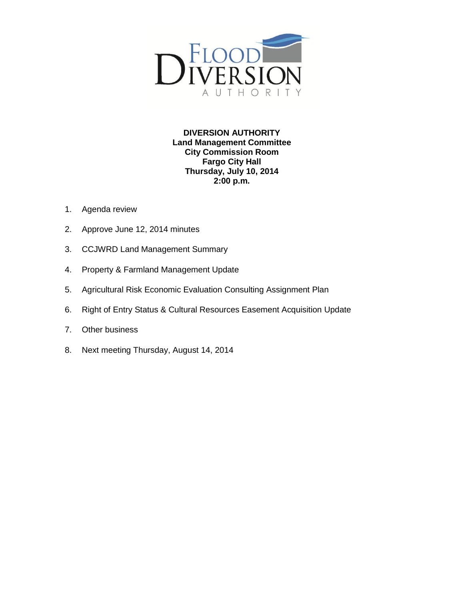

**DIVERSION AUTHORITY Land Management Committee City Commission Room Fargo City Hall Thursday, July 10, 2014 2:00 p.m.**

- 1. Agenda review
- 2. Approve June 12, 2014 minutes
- 3. CCJWRD Land Management Summary
- 4. Property & Farmland Management Update
- 5. Agricultural Risk Economic Evaluation Consulting Assignment Plan
- 6. Right of Entry Status & Cultural Resources Easement Acquisition Update
- 7. Other business
- 8. Next meeting Thursday, August 14, 2014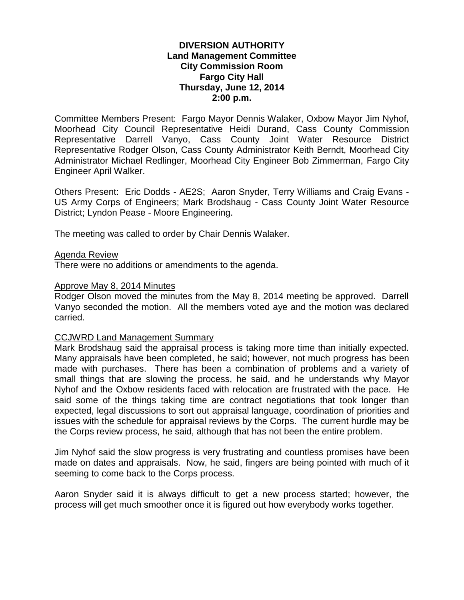## **DIVERSION AUTHORITY Land Management Committee City Commission Room Fargo City Hall Thursday, June 12, 2014 2:00 p.m.**

Committee Members Present: Fargo Mayor Dennis Walaker, Oxbow Mayor Jim Nyhof, Moorhead City Council Representative Heidi Durand, Cass County Commission Representative Darrell Vanyo, Cass County Joint Water Resource District Representative Rodger Olson, Cass County Administrator Keith Berndt, Moorhead City Administrator Michael Redlinger, Moorhead City Engineer Bob Zimmerman, Fargo City Engineer April Walker.

Others Present: Eric Dodds - AE2S; Aaron Snyder, Terry Williams and Craig Evans - US Army Corps of Engineers; Mark Brodshaug - Cass County Joint Water Resource District; Lyndon Pease - Moore Engineering.

The meeting was called to order by Chair Dennis Walaker.

#### Agenda Review

There were no additions or amendments to the agenda.

#### Approve May 8, 2014 Minutes

Rodger Olson moved the minutes from the May 8, 2014 meeting be approved. Darrell Vanyo seconded the motion. All the members voted aye and the motion was declared carried.

#### CCJWRD Land Management Summary

Mark Brodshaug said the appraisal process is taking more time than initially expected. Many appraisals have been completed, he said; however, not much progress has been made with purchases. There has been a combination of problems and a variety of small things that are slowing the process, he said, and he understands why Mayor Nyhof and the Oxbow residents faced with relocation are frustrated with the pace. He said some of the things taking time are contract negotiations that took longer than expected, legal discussions to sort out appraisal language, coordination of priorities and issues with the schedule for appraisal reviews by the Corps. The current hurdle may be the Corps review process, he said, although that has not been the entire problem.

Jim Nyhof said the slow progress is very frustrating and countless promises have been made on dates and appraisals. Now, he said, fingers are being pointed with much of it seeming to come back to the Corps process.

Aaron Snyder said it is always difficult to get a new process started; however, the process will get much smoother once it is figured out how everybody works together.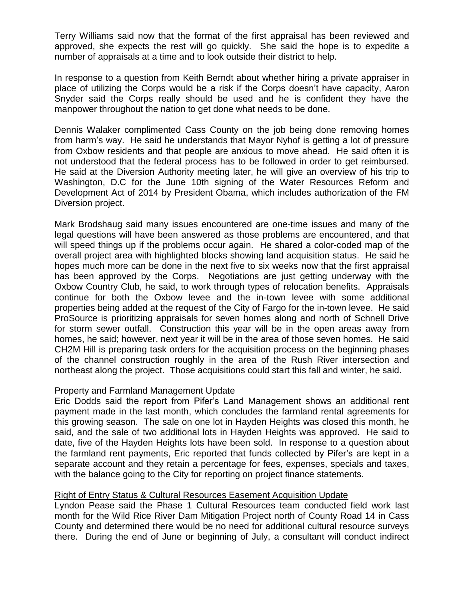Terry Williams said now that the format of the first appraisal has been reviewed and approved, she expects the rest will go quickly. She said the hope is to expedite a number of appraisals at a time and to look outside their district to help.

In response to a question from Keith Berndt about whether hiring a private appraiser in place of utilizing the Corps would be a risk if the Corps doesn't have capacity, Aaron Snyder said the Corps really should be used and he is confident they have the manpower throughout the nation to get done what needs to be done.

Dennis Walaker complimented Cass County on the job being done removing homes from harm's way. He said he understands that Mayor Nyhof is getting a lot of pressure from Oxbow residents and that people are anxious to move ahead. He said often it is not understood that the federal process has to be followed in order to get reimbursed. He said at the Diversion Authority meeting later, he will give an overview of his trip to Washington, D.C for the June 10th signing of the Water Resources Reform and Development Act of 2014 by President Obama, which includes authorization of the FM Diversion project.

Mark Brodshaug said many issues encountered are one-time issues and many of the legal questions will have been answered as those problems are encountered, and that will speed things up if the problems occur again. He shared a color-coded map of the overall project area with highlighted blocks showing land acquisition status. He said he hopes much more can be done in the next five to six weeks now that the first appraisal has been approved by the Corps. Negotiations are just getting underway with the Oxbow Country Club, he said, to work through types of relocation benefits. Appraisals continue for both the Oxbow levee and the in-town levee with some additional properties being added at the request of the City of Fargo for the in-town levee. He said ProSource is prioritizing appraisals for seven homes along and north of Schnell Drive for storm sewer outfall. Construction this year will be in the open areas away from homes, he said; however, next year it will be in the area of those seven homes. He said CH2M Hill is preparing task orders for the acquisition process on the beginning phases of the channel construction roughly in the area of the Rush River intersection and northeast along the project. Those acquisitions could start this fall and winter, he said.

# Property and Farmland Management Update

Eric Dodds said the report from Pifer's Land Management shows an additional rent payment made in the last month, which concludes the farmland rental agreements for this growing season. The sale on one lot in Hayden Heights was closed this month, he said, and the sale of two additional lots in Hayden Heights was approved. He said to date, five of the Hayden Heights lots have been sold. In response to a question about the farmland rent payments, Eric reported that funds collected by Pifer's are kept in a separate account and they retain a percentage for fees, expenses, specials and taxes, with the balance going to the City for reporting on project finance statements.

# Right of Entry Status & Cultural Resources Easement Acquisition Update

Lyndon Pease said the Phase 1 Cultural Resources team conducted field work last month for the Wild Rice River Dam Mitigation Project north of County Road 14 in Cass County and determined there would be no need for additional cultural resource surveys there. During the end of June or beginning of July, a consultant will conduct indirect